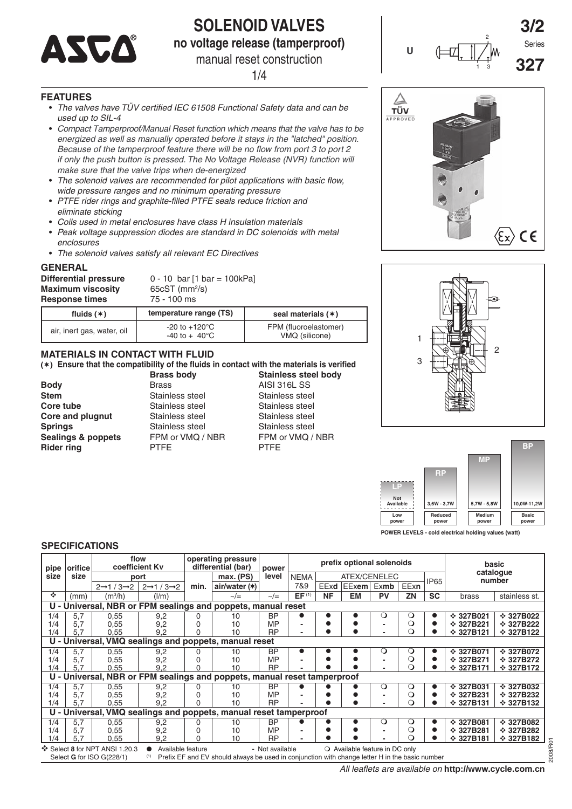

# **SOLENOID VALVES**

**no voltage release (tamperproof)** manual reset construction

1/4

# **FEATURES**

- *The valves have TÜV certified IEC 61508 Functional Safety data and can be used up to SIL-4*
- *Compact Tamperproof/Manual Reset function which means that the valve has to be energized as well as manually operated before it stays in the "latched" position. Because of the tamperproof feature there will be no flow from port 3 to port 2 if only the push button is pressed. The No Voltage Release (NVR) function will make sure that the valve trips when de-energized*
- *The solenoid valves are recommended for pilot applications with basic flow, wide pressure ranges and no minimum operating pressure*
- *PTFE rider rings and graphite-filled PTFE seals reduce friction and eliminate sticking*
- *Coils used in metal enclosures have class H insulation materials*
- *Peak voltage suppression diodes are standard in DC solenoids with metal enclosures*
- *The solenoid valves satisfy all relevant EC Directives*

#### **GENERAL**

| <b>Differential pressure</b><br><b>Maximum viscosity</b><br><b>Response times</b> | $0 - 10$ bar [1 bar = 100kPa]<br>$65cST$ (mm <sup>2</sup> /s)<br>75 - 100 ms |                       |
|-----------------------------------------------------------------------------------|------------------------------------------------------------------------------|-----------------------|
| fluids $(*)$                                                                      | temperature range (TS)                                                       | seal materials $(*)$  |
| الأحراب والمستحددة المراجين بالمراجعة المائط                                      | $-20$ to $+120^{\circ}$ C                                                    | FPM (fluoroelastomer) |

# **MATERIALS IN CONTACT WITH FLUID**

air, inert gas, water, oil -20 to +120°C

### **() Ensure that the compatibility of the fluids in contact with the materials is verified**

 $-40$  to  $+ 40$ °C

**Core** and plugnut

- **Body** Brass Brass AISI 316L SS<br> **Stem** Stainless steel Stainless stee **Stainless steel Stainless steel Core tube** Stainless steel Stainless steel<br> **Core** and plugnut Stainless steel Stainless steel **Springs** Stainless steel Stainless steel **Rider ring PTFE PTFE PTFE**
- **Brass body Stainless steel body Sealings & poppets**  FPM or VMQ / NBR FPM or VMQ / NBR

VMQ (silicone)









**POWER LEVELS - cold electrical holding values (watt)**

# **SPECIFICATIONS**

| pipe | orifice                                                                                                                                                                                                                                        |                                   | flow<br>coefficient Ky            |      | operating pressure<br>differential (bar)                             | prefix optional solenoids<br>power |                   |           |              |           | basic<br>catalogue |             |                  |                  |
|------|------------------------------------------------------------------------------------------------------------------------------------------------------------------------------------------------------------------------------------------------|-----------------------------------|-----------------------------------|------|----------------------------------------------------------------------|------------------------------------|-------------------|-----------|--------------|-----------|--------------------|-------------|------------------|------------------|
| size | size                                                                                                                                                                                                                                           |                                   | port                              |      | max. (PS)                                                            | level                              | <b>NEMA</b>       |           | ATEX/CENELEC |           |                    | <b>IP65</b> |                  | number           |
|      |                                                                                                                                                                                                                                                | $2 \rightarrow 1/3 \rightarrow 2$ | $2 \rightarrow 1/3 \rightarrow 2$ | min. | air/water (*)                                                        |                                    | 7&9               | EExd      | <b>EExem</b> | Exmb      | EExn               |             |                  |                  |
| ÷    | (mm)                                                                                                                                                                                                                                           | $(m^3/h)$                         | (1/m)                             |      | $\sim/\equiv$                                                        | $\sim/\equiv$                      | EF <sup>(1)</sup> | <b>NF</b> | <b>EM</b>    | <b>PV</b> | ZN                 | <b>SC</b>   | brass            | stainless st.    |
|      | U - Universal, NBR or FPM sealings and poppets, manual reset                                                                                                                                                                                   |                                   |                                   |      |                                                                      |                                    |                   |           |              |           |                    |             |                  |                  |
| 1/4  | 5,7                                                                                                                                                                                                                                            | 0,55                              | 9,2                               | 0    | 10                                                                   | <b>BP</b>                          |                   |           |              | O         | O                  |             | $\div$ 327B021   | $\div$ 327B022   |
| 1/4  | 5.7                                                                                                                                                                                                                                            | 0,55                              | 9,2                               |      | 10                                                                   | MP                                 |                   |           |              |           | $\circ$            |             | $\div$ 327B221   | $\div$ 327B222   |
| 1/4  | 5.7                                                                                                                                                                                                                                            | 0.55                              | 9.2                               | ი    | 10                                                                   | <b>RP</b>                          |                   |           |              |           | O                  | ●           | $\div$ 327B121   | $\div$ 327B122   |
|      | U - Universal, VMQ sealings and poppets, manual reset                                                                                                                                                                                          |                                   |                                   |      |                                                                      |                                    |                   |           |              |           |                    |             |                  |                  |
| 1/4  | 5,7                                                                                                                                                                                                                                            | 0,55                              | 9,2                               | 0    | 10                                                                   | <b>BP</b>                          |                   |           |              | Ő         | О                  |             | <b>☆ 327B071</b> | <b>↑ 327B072</b> |
| 1/4  | 5,7                                                                                                                                                                                                                                            | 0.55                              | 9,2                               |      | 10                                                                   | MP                                 |                   |           |              |           | $\circ$            | 0           | $\div$ 327B271   | $\div$ 327B272   |
| 1/4  | 5.7                                                                                                                                                                                                                                            | 0,55                              | 9,2                               | U    | 10                                                                   | <b>RP</b>                          |                   |           |              |           | റ                  |             | $\div$ 327B171   | $\div$ 327B172   |
|      |                                                                                                                                                                                                                                                |                                   |                                   |      | Universal, NBR or FPM sealings and poppets, manual reset tamperproof |                                    |                   |           |              |           |                    |             |                  |                  |
| 1/4  | 5,7                                                                                                                                                                                                                                            | 0,55                              | 9,2                               | 0    | 10                                                                   | <b>BP</b>                          |                   |           |              | Q         | O                  |             | $\div$ 327B031   | $\div$ 327B032   |
| 1/4  | 5.7                                                                                                                                                                                                                                            | 0.55                              | 9,2                               |      | 10                                                                   | <b>MP</b>                          |                   |           |              |           | O                  |             | $\div$ 327B231   | $\div$ 327B232   |
| 1/4  | 5.7                                                                                                                                                                                                                                            | 0.55                              | 9.2                               | 0    | 10                                                                   | <b>RP</b>                          |                   |           |              |           | Q                  |             | $\div$ 327B131   | $\div$ 327B132   |
|      |                                                                                                                                                                                                                                                |                                   |                                   |      | U - Universal, VMQ sealings and poppets, manual reset tamperproof    |                                    |                   |           |              |           |                    |             |                  |                  |
| 1/4  | 5,7                                                                                                                                                                                                                                            | 0,55                              | 9,2                               | 0    | 10                                                                   | <b>BP</b>                          |                   |           |              | О         | O                  |             | $\div$ 327B081   | $\div$ 327B082   |
| 1/4  | 5,7                                                                                                                                                                                                                                            | 0,55                              | 9,2                               |      | 10                                                                   | <b>MP</b>                          |                   |           |              |           | $\circ$            |             | $\div$ 327B281   | $\div$ 327B282   |
| 1/4  | 5.7                                                                                                                                                                                                                                            | 0.55                              | 9.2                               | U    | 10                                                                   | <b>RP</b>                          |                   |           |              |           | റ                  | ●           | $\div$ 327B181   | $\div$ 327B182   |
|      | ❖ Select 8 for NPT ANSI 1.20.3<br>Available feature<br>O Available feature in DC only<br>- Not available<br>Select <b>G</b> for ISO G(228/1)<br>Prefix EF and EV should always be used in conjunction with change letter H in the basic number |                                   |                                   |      |                                                                      |                                    |                   |           |              |           |                    |             |                  |                  |

 *All leaflets are available on* **[http://w](http://www.cycle.com.cn)ww.cycle.com.cn**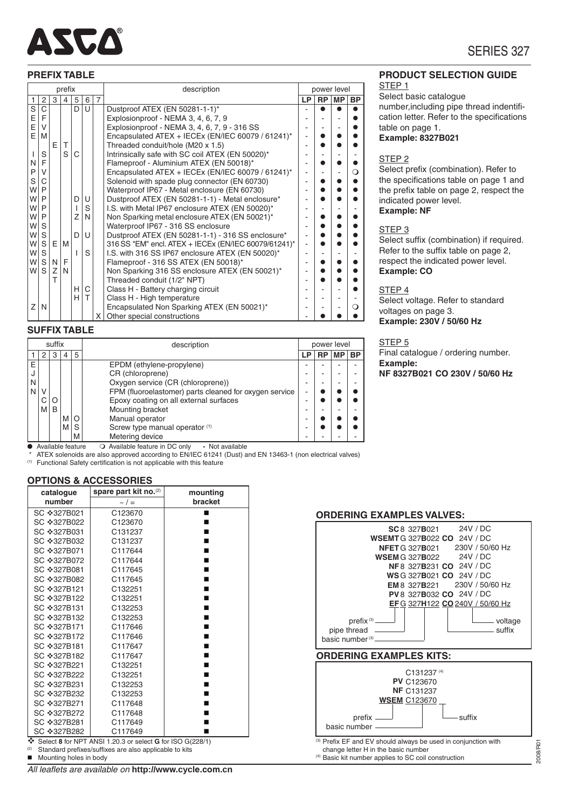

#### **PREFIX**

|                |                |              | <b>PREFIX TABLE</b> |     |     |   |                                                      |                          |             |           |           | <b>PRODUCT SELECTION GUIDE</b>             |
|----------------|----------------|--------------|---------------------|-----|-----|---|------------------------------------------------------|--------------------------|-------------|-----------|-----------|--------------------------------------------|
|                |                |              | prefix              |     |     |   | description                                          |                          | power level |           |           | STEP <sub>1</sub>                          |
|                | 2 <sup>1</sup> | $\mathbf{3}$ | 4                   | 5   | 6   | 7 |                                                      | LP                       | <b>RP</b>   | <b>MP</b> | <b>BP</b> | Select basic catalogue                     |
| $\overline{s}$ | $\mathsf{C}$   |              |                     | D U |     |   | Dustproof ATEX (EN 50281-1-1)*                       |                          |             |           |           | number, including pipe thread indentifi-   |
|                | F              |              |                     |     |     |   | Explosionproof - NEMA 3, 4, 6, 7, 9                  |                          |             |           |           | cation letter. Refer to the specifications |
| E<br>E<br>E    | V              |              |                     |     |     |   | Explosionproof - NEMA 3, 4, 6, 7, 9 - 316 SS         |                          |             |           |           | table on page 1.                           |
|                | l M            |              |                     |     |     |   | Encapsulated ATEX + IECEx (EN/IEC 60079 / 61241)*    | $\blacksquare$           |             |           |           | <b>Example: 8327B021</b>                   |
|                |                | Ε            |                     |     |     |   | Threaded conduit/hole (M20 x 1.5)                    |                          |             |           |           |                                            |
|                | S              |              | S                   | С   |     |   | Intrinsically safe with SC coil ATEX (EN 50020)*     |                          |             |           |           | STEP <sub>2</sub>                          |
| $N \mid F$     |                |              |                     |     |     |   | Flameproof - Aluminium ATEX (EN 50018)*              |                          |             |           |           |                                            |
| P V            |                |              |                     |     |     |   | Encapsulated ATEX + IECEx (EN/IEC 60079 / 61241)*    |                          |             |           | $\Omega$  | Select prefix (combination). Refer to      |
| S              | C              |              |                     |     |     |   | Solenoid with spade plug connector (EN 60730)        |                          |             |           |           | the specifications table on page 1 and     |
| W∣P            |                |              |                     |     |     |   | Waterproof IP67 - Metal enclosure (EN 60730)         |                          |             |           |           | the prefix table on page 2, respect the    |
| W∣P            |                |              |                     | D U |     |   | Dustproof ATEX (EN 50281-1-1) - Metal enclosure*     | $\overline{\phantom{a}}$ |             |           |           | indicated power level.                     |
| W∣P            |                |              |                     |     | S   |   | I.S. with Metal IP67 enclosure ATEX (EN 50020)*      |                          |             |           |           | <b>Example: NF</b>                         |
| W∣P            |                |              |                     | Ζ   | IN. |   | Non Sparking metal enclosure ATEX (EN 50021)*        |                          |             |           |           |                                            |
| w∣s            |                |              |                     |     |     |   | Waterproof IP67 - 316 SS enclosure                   |                          |             |           |           | STEP <sub>3</sub>                          |
| w∣s            |                |              |                     | D U |     |   | Dustproof ATEX (EN 50281-1-1) - 316 SS enclosure*    |                          |             |           |           | Select suffix (combination) if required.   |
| W              | S              | E.           | l M                 |     |     |   | 316 SS "EM" encl. ATEX + IECEx (EN/IEC 60079/61241)* |                          |             |           |           |                                            |
| w∣s            |                |              |                     |     | S   |   | I.S. with 316 SS IP67 enclosure ATEX (EN 50020)*     |                          |             |           |           | Refer to the suffix table on page 2,       |
| w∣s            |                | N.           | F                   |     |     |   | Flameproof - 316 SS ATEX (EN 50018)*                 |                          |             |           |           | respect the indicated power level.         |
|                | WSZN           |              |                     |     |     |   | Non Sparking 316 SS enclosure ATEX (EN 50021)*       |                          |             |           |           | <b>Example: CO</b>                         |

espect the indicated power level. **Example: CO** STEP 4 Select voltage. Refer to standard voltages on page 3. **Example: 230V / 50/60 Hz** T Threaded conduit (1/2" NPT) - Class H - High temperature<br>Encapsulated Non Sparking ATEX (EN 50021)\*

#### STEP 5

Final catalogue / ordering number. **Example: NF 8327B021 CO 230V / 50/60 Hz**

## **SUFFIX TABLE**

| suffix |                     |   |   |          | description                                                | power level |           |    |           |  |
|--------|---------------------|---|---|----------|------------------------------------------------------------|-------------|-----------|----|-----------|--|
|        |                     | 3 | 4 | 5        |                                                            | LP          | <b>RP</b> | МP | <b>BP</b> |  |
| E      |                     |   |   |          | EPDM (ethylene-propylene)                                  |             |           |    |           |  |
|        |                     |   |   |          | CR (chloroprene)                                           |             |           |    |           |  |
| N      |                     |   |   |          | Oxygen service (CR (chloroprene))                          |             |           |    |           |  |
| N      |                     |   |   |          | FPM (fluoroelastomer) parts cleaned for oxygen service     | ۰           |           |    |           |  |
|        |                     | O |   |          | Epoxy coating on all external surfaces                     | ۰           |           |    |           |  |
|        | M                   | B |   |          | Mounting bracket                                           | ۰           |           |    |           |  |
|        |                     |   | M | $\Omega$ | Manual operator                                            | ۰           |           |    |           |  |
|        |                     |   | M | S        | Screw type manual operator (1)                             | ۰           |           |    |           |  |
|        |                     |   |   | M        | Metering device                                            |             |           |    |           |  |
|        | • Available feature |   |   |          | Available feature in DC only<br>- Not available<br>$\circ$ |             |           |    |           |  |

H C Class H - Battery charging circuit<br>
H T Class H - High temperature

 $Z\vert N \vert \vert \vert \vert \vert$  | Encapsulated Non Sparking ATEX (EN 50021)\* Other special constructions

\* ATEX solenoids are also approved according to EN/IEC 61241 (Dust) and EN 13463-1 (non electrical valves)<br><sup>(1)</sup> Functional Safety certification is not applicable with this feature

#### **OPTIONS & ACCESSORIES**

| catalogue   | spare part kit no.(2)                                                        | mounting |
|-------------|------------------------------------------------------------------------------|----------|
| number      | $\sim$ / $=$                                                                 | bracket  |
| SC ❖327B021 | C123670                                                                      | ■        |
| SC ❖327B022 | C123670                                                                      |          |
| SC ~327B031 | C131237                                                                      |          |
| SC ❖327B032 | C131237                                                                      |          |
| SC ❖327B071 | C117644                                                                      |          |
| SC ❖327B072 | C117644                                                                      |          |
| SC ❖327B081 | C117645                                                                      |          |
| SC ❖327B082 | C117645                                                                      |          |
| SC ❖327B121 | C132251                                                                      |          |
| SC ❖327B122 | C132251                                                                      |          |
| SC ❖327B131 | C132253                                                                      |          |
| SC ❖327B132 | C132253                                                                      |          |
| SC ❖327B171 | C117646                                                                      |          |
| SC ❖327B172 | C117646                                                                      |          |
| SC ❖327B181 | C117647                                                                      |          |
| SC ❖327B182 | C117647                                                                      |          |
| SC ❖327B221 | C132251                                                                      |          |
| SC ❖327B222 | C132251                                                                      |          |
| SC ❖327B231 | C132253                                                                      |          |
| SC ❖327B232 | C132253                                                                      |          |
| SC ❖327B271 | C117648                                                                      |          |
| SC ❖327B272 | C117648                                                                      |          |
| SC ❖327B281 | C117649                                                                      |          |
| SC ❖327B282 | C117649<br>$\bullet$ Coloct 8 for NDT ANCL1.20.3 or soloot C for ICO C(2204) |          |



**Mounting holes in body** 

#### **ORDERING EXAMPLES VALVES:**

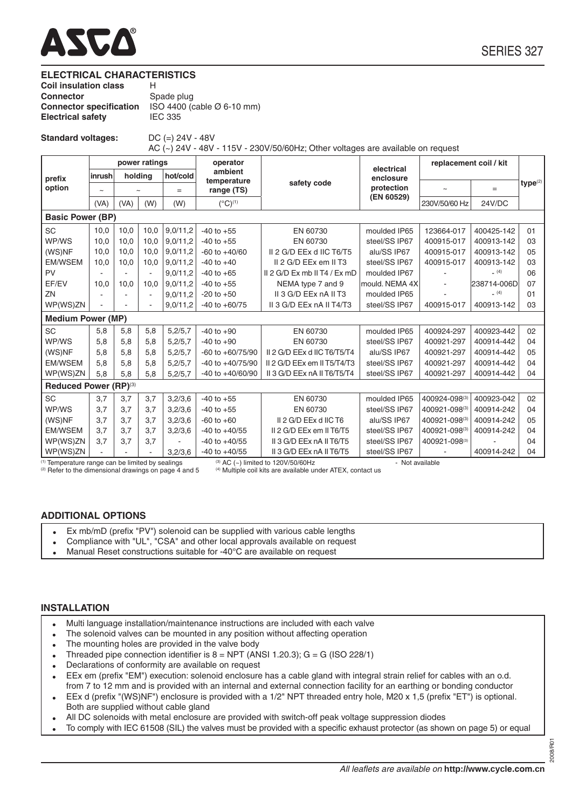

#### **ELECTRICAL CHARACTERISTICS**

| <b>Coil insulation class</b>   | н                                      |
|--------------------------------|----------------------------------------|
| Connector                      | Spade plug                             |
| <b>Connector specification</b> | ISO 4400 (cable $\varnothing$ 6-10 mm) |
| <b>Electrical safety</b>       | <b>IEC 335</b>                         |
|                                |                                        |

**Standard voltages:** DC (=) 24V - 48V

AC (~) 24V - 48V - 115V - 230V/50/60Hz; Other voltages are available on request

|                                                  |             |                                               | power ratings  |          | operator             |                                         | electrical      | replacement coil / kit |             |                     |
|--------------------------------------------------|-------------|-----------------------------------------------|----------------|----------|----------------------|-----------------------------------------|-----------------|------------------------|-------------|---------------------|
| prefix                                           | inrush      | ambient<br>holding<br>hot/cold<br>temperature |                |          | enclosure            |                                         |                 |                        |             |                     |
| option                                           | $\thicksim$ | $\tilde{ }$                                   |                | $=$      | range (TS)           | safety code                             | protection      |                        | $=$         | type <sup>(2)</sup> |
|                                                  | (VA)        | (VA)                                          | (W)            | (W)      | $(^{\circ}C)^{(1)}$  |                                         | (EN 60529)      | 230V/50/60 Hz          | 24V/DC      |                     |
| <b>Basic Power (BP)</b>                          |             |                                               |                |          |                      |                                         |                 |                        |             |                     |
| <b>SC</b>                                        | 10,0        | 10,0                                          | 10,0           | 9,0/11,2 | $-40$ to $+55$       | EN 60730                                | moulded IP65    | 123664-017             | 400425-142  | 01                  |
| WP/WS                                            | 10.0        | 10.0                                          | 10,0           | 9,0/11,2 | $-40$ to $+55$       | EN 60730                                | steel/SS IP67   | 400915-017             | 400913-142  | 03                  |
| (WS)NF                                           | 10.0        | 10.0                                          | 10,0           | 9.0/11.2 | $-60$ to $+40/60$    | II 2 G/D EEx d IIC T6/T5                | alu/SS IP67     | 400915-017             | 400913-142  | 05                  |
| <b>EM/WSEM</b>                                   | 10,0        | 10.0                                          | 10,0           | 9,0/11,2 | $-40$ to $+40$       | II 2 G/D EEx em II T3                   | steel/SS IP67   | 400915-017             | 400913-142  | 03                  |
| PV                                               |             |                                               | $\blacksquare$ | 9.0/11.2 | $-40$ to $+65$       | II 2 G/D Ex mb II T4 / Ex mD            | moulded IP67    |                        | (4)         | 06                  |
| EF/EV                                            | 10,0        | 10.0                                          | 10,0           | 9,0/11,2 | $-40$ to $+55$       | NEMA type 7 and 9                       | mould. NEMA 4X  |                        | 238714-006D | 07                  |
| ZN                                               |             |                                               | $\sim$         | 9,0/11,2 | $-20$ to $+50$       | II 3 G/D EEx nA II T3                   | moulded IP65    |                        | (4)         | 01                  |
| WP(WS)ZN                                         |             |                                               |                | 9.0/11.2 | $-40$ to $+60/75$    | II 3 G/D EEx nA II T4/T3                | steel/SS IP67   | 400915-017             | 400913-142  | 03                  |
| <b>Medium Power (MP)</b>                         |             |                                               |                |          |                      |                                         |                 |                        |             |                     |
| SC                                               | 5,8         | 5.8                                           | 5,8            | 5.2/5.7  | $-40$ to $+90$       | EN 60730                                | moulded IP65    | 400924-297             | 400923-442  | 02                  |
| WP/WS                                            | 5.8         | 5.8                                           | 5,8            | 5,2/5,7  | $-40$ to $+90$       | EN 60730                                | steel/SS IP67   | 400921-297             | 400914-442  | 04                  |
| (WS)NF                                           | 5,8         | 5.8                                           | 5,8            | 5,2/5,7  | $-60$ to $+60/75/90$ | II 2 G/D EEx d IIC T6/T5/T4             | alu/SS IP67     | 400921-297             | 400914-442  | 05                  |
| <b>EM/WSEM</b>                                   | 5.8         | 5.8                                           | 5,8            | 5,2/5,7  | $-40$ to $+40/75/90$ | II 2 G/D EEx em II T5/T4/T3             | steel/SS IP67   | 400921-297             | 400914-442  | 04                  |
| WP(WS)ZN                                         | 5.8         | 5.8                                           | 5.8            | 5,2/5,7  | $-40$ to $+40/60/90$ | II 3 G/D EEx nA II T6/T5/T4             | steel/SS IP67   | 400921-297             | 400914-442  | 04                  |
| Reduced Power (RP)(3)                            |             |                                               |                |          |                      |                                         |                 |                        |             |                     |
| <b>SC</b>                                        | 3,7         | 3.7                                           | 3,7            | 3,2/3,6  | $-40$ to $+55$       | EN 60730                                | moulded IP65    | 400924-098(3)          | 400923-042  | 02                  |
| WP/WS                                            | 3.7         | 3,7                                           | 3,7            | 3,2/3,6  | $-40$ to $+55$       | EN 60730                                | steel/SS IP67   | 400921-098(3)          | 400914-242  | 04                  |
| (WS)NF                                           | 3,7         | 3,7                                           | 3,7            | 3,2/3,6  | $-60$ to $+60$       | II 2 G/D EEx d IIC T6                   | alu/SS IP67     | 400921-098(3)          | 400914-242  | 05                  |
| <b>EM/WSEM</b>                                   | 3.7         | 3.7                                           | 3,7            | 3,2/3,6  | $-40$ to $+40/55$    | II 2 G/D EEx em II T6/T5                | steel/SS IP67   | 400921-098(3)          | 400914-242  | 04                  |
| WP(WS)ZN                                         | 3,7         | 3,7                                           | 3,7            |          | $-40$ to $+40/55$    | II 3 G/D EEx nA II T6/T5                | steel/SS IP67   | 400921-098(3)          |             | 04                  |
| WP(WS)ZN                                         |             |                                               |                | 3.2/3.6  | $-40$ to $+40/55$    | II 3 G/D EEx nA II T6/T5                | steel/SS IP67   |                        | 400914-242  | 04                  |
| (1) Temperature range can be limited by sealings |             |                                               |                |          |                      | $^{(3)}$ AC (~) limited to 120V/50/60Hz | - Not available |                        |             |                     |

 $^{(2)}$  Refer to the dimensional drawings on page 4 and 5  $^{(4)}$  Multiple coil kits are available under ATEX, contact us

# **ADDITIONAL OPTIONS**

- Ex mb/mD (prefix "PV") solenoid can be supplied with various cable lengths
- Compliance with "UL", "CSA" and other local approvals available on request
- Manual Reset constructions suitable for -40°C are available on request

## **INSTALLATION**

- Multi language installation/maintenance instructions are included with each valve
- The solenoid valves can be mounted in any position without affecting operation
- The mounting holes are provided in the valve body
- Threaded pipe connection identifier is  $8 = NPT$  (ANSI 1.20.3); G = G (ISO 228/1)
- Declarations of conformity are available on request
- EEx em (prefix "EM") execution: solenoid enclosure has a cable gland with integral strain relief for cables with an o.d. from 7 to 12 mm and is provided with an internal and external connection facility for an earthing or bonding conductor
- EEx d (prefix "(WS)NF") enclosure is provided with a 1/2" NPT threaded entry hole, M20 x 1,5 (prefix "ET") is optional. Both are supplied without cable gland
- All DC solenoids with metal enclosure are provided with switch-off peak voltage suppression diodes
- To comply with IEC 61508 (SIL) the valves must be provided with a specific exhaust protector (as shown on page 5) or equal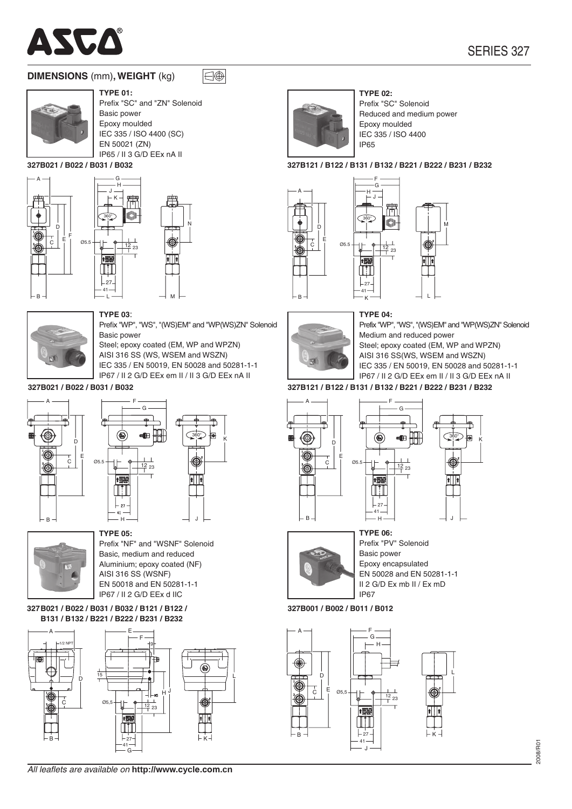

# **DIMENSIONS** (mm), WEIGHT (kg)



**TYPE 01:** Prefix "SC" and "ZN" Solenoid Basic power

 $\bigcap_{i=1}^n$ 

Epoxy moulded IEC 335 / ISO 4400 (SC) EN 50021 (ZN) IP65 / II 3 G/D EEx nA II

327B021 / B022 / B031 / B032





**TYPE 03:** 

Basic power





Prefix "SC" Solenoid Reduced and medium power Epoxy moulded IEC 335 / ISO 4400 **IP65** 

#### 327B121 / B122 / B131 / B132 / B221 / B222 / B231 / B232



# **TYPE 04:**



Prefix "WP", "WS", "(WS)EM" and "WP(WS)ZN" Solenoid Medium and reduced power Steel; epoxy coated (EM, WP and WPZN) AISI 316 SS(WS, WSEM and WSZN) IEC 335 / EN 50019, EN 50028 and 50281-1-1 IP67 / II 2 G/D EEx em II / II 3 G/D EEx nA II

#### 327B121 / B122 / B131 / B132 / B221 / B222 / B231 / B232



327B021 / B022 / B031 / B032



Prefix "WP", "WS", "(WS)EM" and "WP(WS)ZN" Solenoid

Steel; epoxy coated (EM, WP and WPZN)

IEC 335 / EN 50019, EN 50028 and 50281-1-1

IP67 / II 2 G/D FFx em II / II 3 G/D FFx nA II

AISI 316 SS (WS, WSEM and WSZN)



**TYPE 05:** Prefix "NF" and "WSNF" Solenoid Basic, medium and reduced Aluminium; epoxy coated (NF) AISI 316 SS (WSNF) EN 50018 and EN 50281-1-1 IP67 / II 2 G/D FFx d IIC

327 B021 / B022 / B031 / B032 / B121 / B122 / B131 / B132 / B221 / B222 / B231 / B232



All leaflets are available on http://www.cycle.com.cn







**TYPE 06:** Prefix "PV" Solenoid Basic power Epoxy encapsulated EN 50028 and EN 50281-1-1 II 2 G/D Ex mb II / Ex mD **IP67** 

327B001 / B002 / B011 / B012